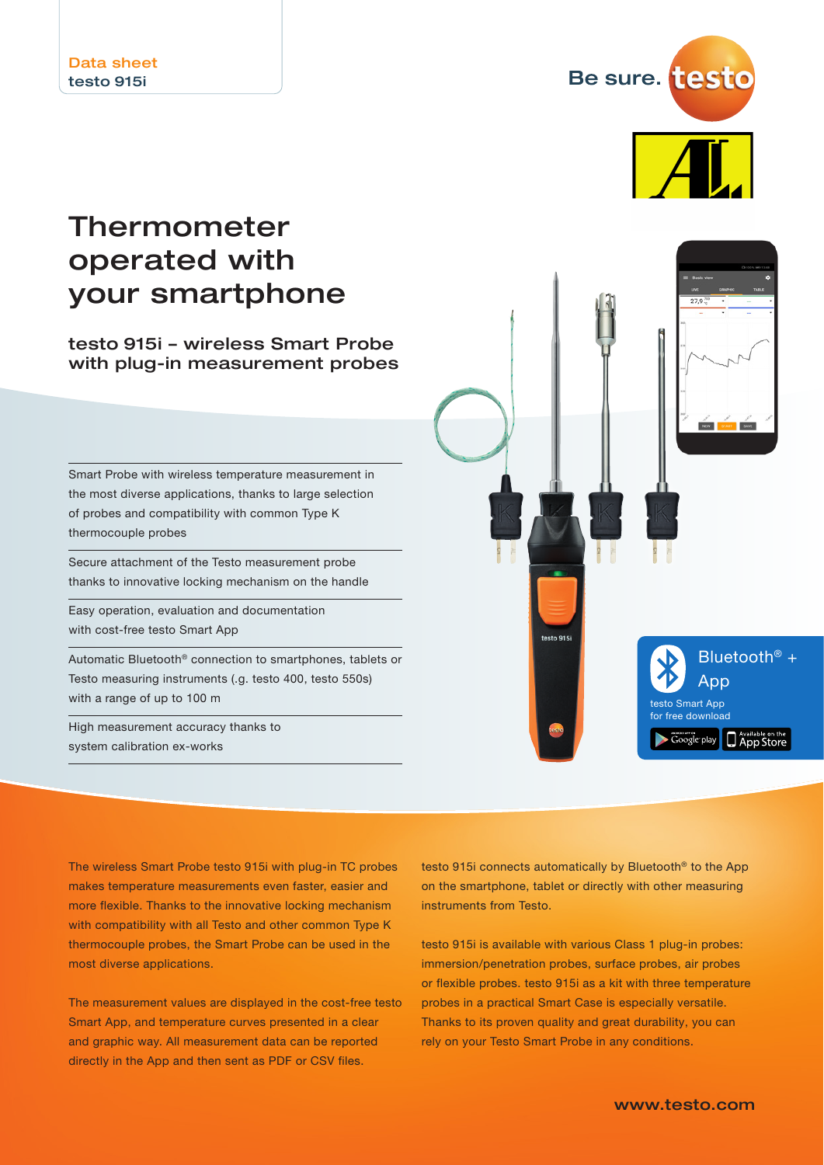Be sure. testo

## Thermometer operated with your smartphone

### testo 915i – wireless Smart Probe with plug-in measurement probes

Smart Probe with wireless temperature measurement in the most diverse applications, thanks to large selection of probes and compatibility with common Type K thermocouple probes

Secure attachment of the Testo measurement probe thanks to innovative locking mechanism on the handle

Easy operation, evaluation and documentation with cost-free testo Smart App

Automatic Bluetooth® connection to smartphones, tablets or Testo measuring instruments (.g. testo 400, testo 550s) with a range of up to 100 m

High measurement accuracy thanks to system calibration ex-works



The wireless Smart Probe testo 915i with plug-in TC probes makes temperature measurements even faster, easier and more flexible. Thanks to the innovative locking mechanism with compatibility with all Testo and other common Type K thermocouple probes, the Smart Probe can be used in the most diverse applications.

The measurement values are displayed in the cost-free testo Smart App, and temperature curves presented in a clear and graphic way. All measurement data can be reported directly in the App and then sent as PDF or CSV files.

testo 915i connects automatically by Bluetooth® to the App on the smartphone, tablet or directly with other measuring instruments from Testo.

testo 915i is available with various Class 1 plug-in probes: immersion/penetration probes, surface probes, air probes or flexible probes. testo 915i as a kit with three temperature probes in a practical Smart Case is especially versatile. Thanks to its proven quality and great durability, you can rely on your Testo Smart Probe in any conditions.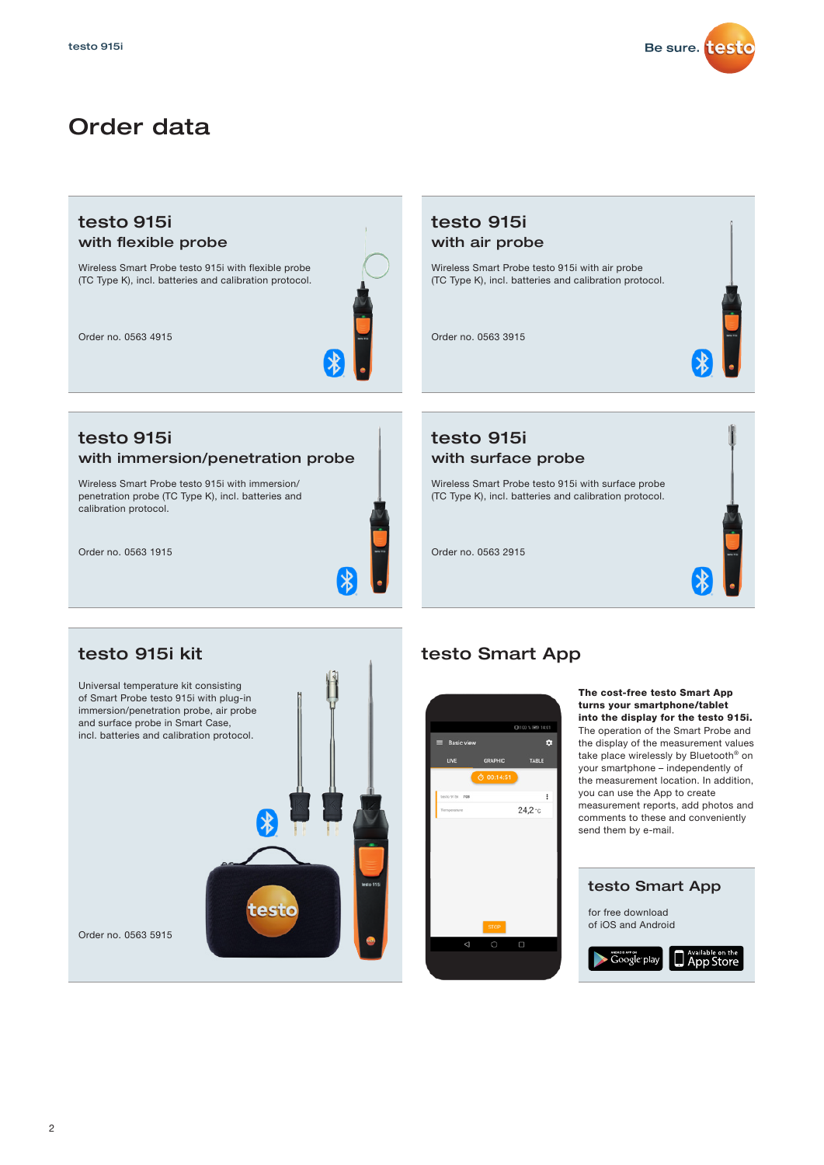

### Order data

### testo 915i with flexible probe

Wireless Smart Probe testo 915i with flexible probe (TC Type K), incl. batteries and calibration protocol.

Order no. 0563 4915



# testo 915i

#### with immersion/penetration probe

Wireless Smart Probe testo 915i with immersion/ penetration probe (TC Type K), incl. batteries and calibration protocol.

Order no. 0563 1915



### testo 915i kit

Universal temperature kit consisting of Smart Probe testo 915i with plug-in immersion/penetration probe, air probe and surface probe in Smart Case, incl. batteries and calibration protocol.



### testo Smart App

testo 915i with air probe

Wireless Smart Probe testo 915i with air probe (TC Type K), incl. batteries and calibration protocol.

testo 915i

Order no. 0563 2915

Order no. 0563 3915

with surface probe

Wireless Smart Probe testo 915i with surface probe (TC Type K), incl. batteries and calibration protocol.



#### The cost-free testo Smart App turns your smartphone/tablet into the display for the testo 915i. The operation of the Smart Probe and the display of the measurement values take place wirelessly by Bluetooth® on your smartphone – independently of the measurement location. In addition, you can use the App to create

measurement reports, add photos and comments to these and conveniently send them by e-mail.



#### $\overline{2}$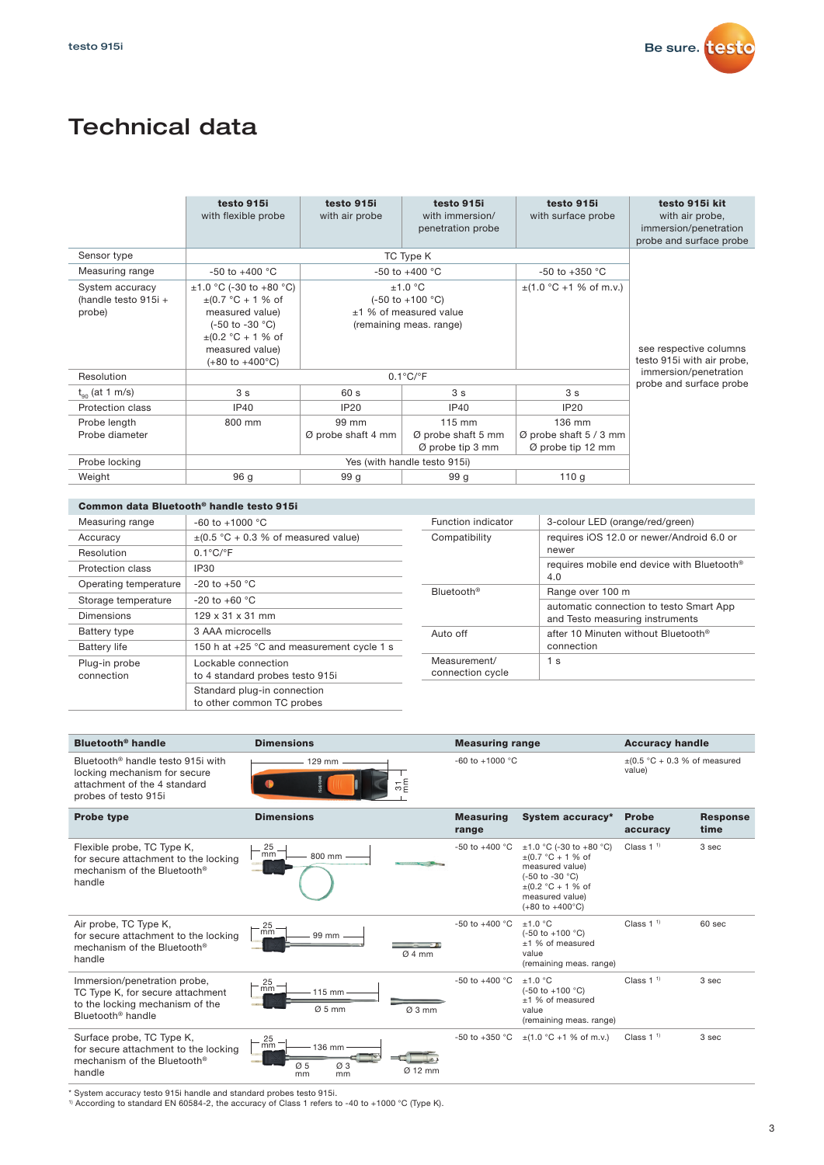

## Technical data

|                                                     | testo 915i<br>with flexible probe                                                                                                                                                                                        | testo 915i<br>with air probe | testo 915i<br>with immersion/<br>penetration probe                                                    | testo 915i<br>with surface probe                      | testo 915i kit<br>with air probe,<br>immersion/penetration<br>probe and surface probe |
|-----------------------------------------------------|--------------------------------------------------------------------------------------------------------------------------------------------------------------------------------------------------------------------------|------------------------------|-------------------------------------------------------------------------------------------------------|-------------------------------------------------------|---------------------------------------------------------------------------------------|
| Sensor type                                         |                                                                                                                                                                                                                          |                              | TC Type K                                                                                             |                                                       |                                                                                       |
| Measuring range                                     | $-50$ to $+400$ °C                                                                                                                                                                                                       |                              | $-50$ to $+400$ °C                                                                                    | $-50$ to $+350$ °C                                    |                                                                                       |
| System accuracy<br>(handle testo $915i +$<br>probe) | $\pm$ 1.0 °C (-30 to +80 °C)<br>$\pm$ (0.7 °C + 1 % of<br>measured value)<br>$(-50 \text{ to } -30 \text{ °C})$<br>$\pm (0.2 \degree C + 1 \% \space of$<br>measured value)<br>$(+80 \text{ to } +400^{\circ} \text{C})$ |                              | ±1.0 °C<br>$(-50 \text{ to } +100 \text{ °C})$<br>$±1$ % of measured value<br>(remaining meas. range) | $\pm$ (1.0 °C +1 % of m.v.)                           | see respective columns<br>testo 915i with air probe,                                  |
| Resolution                                          | $0.1^{\circ}$ C/ $^{\circ}$ F                                                                                                                                                                                            |                              |                                                                                                       | immersion/penetration<br>probe and surface probe      |                                                                                       |
| $t_{\alpha}$ (at 1 m/s)                             | 3 <sub>s</sub>                                                                                                                                                                                                           | 60s                          | 3 <sub>s</sub>                                                                                        | 3 <sub>s</sub>                                        |                                                                                       |
| Protection class                                    | IP40                                                                                                                                                                                                                     | <b>IP20</b>                  | IP40                                                                                                  | IP20                                                  |                                                                                       |
| Probe length<br>Probe diameter                      | 800 mm                                                                                                                                                                                                                   | 99 mm<br>Ø probe shaft 4 mm  | $115 \text{ mm}$<br>$\varnothing$ probe shaft 5 mm<br>$\varnothing$ probe tip 3 mm                    | 136 mm<br>Ø probe shaft 5 / 3 mm<br>Ø probe tip 12 mm |                                                                                       |
| Probe locking                                       | Yes (with handle testo 915i)                                                                                                                                                                                             |                              |                                                                                                       |                                                       |                                                                                       |
| Weight                                              | 96 g                                                                                                                                                                                                                     | 99 <sub>g</sub>              | 99 <sub>g</sub>                                                                                       | 110q                                                  |                                                                                       |

#### Common data Bluetooth® handle testo 915i

| Measuring range             | $-60$ to $+1000$ °C                                      |
|-----------------------------|----------------------------------------------------------|
| Accuracy                    | $\pm$ (0.5 °C + 0.3 % of measured value)                 |
| Resolution                  | $0.1^{\circ}$ C/ $^{\circ}$ F                            |
| Protection class            | IP30                                                     |
| Operating temperature       | $-20$ to $+50$ °C                                        |
| Storage temperature         | $-20$ to $+60$ °C                                        |
| Dimensions                  | 129 x 31 x 31 mm                                         |
| Battery type                | 3 AAA microcells                                         |
| <b>Battery life</b>         | 150 h at +25 °C and measurement cycle 1 s                |
| Plug-in probe<br>connection | Lockable connection<br>to 4 standard probes testo 915i   |
|                             | Standard plug-in connection<br>to other common TC probes |

| Function indicator               | 3-colour LED (orange/red/green)                                            |  |
|----------------------------------|----------------------------------------------------------------------------|--|
| Compatibility                    | requires iOS 12.0 or newer/Android 6.0 or<br>newer                         |  |
|                                  | requires mobile end device with Bluetooth <sup>®</sup><br>4.0              |  |
| Bluetooth <sup>®</sup>           | Range over 100 m                                                           |  |
|                                  | automatic connection to testo Smart App<br>and Testo measuring instruments |  |
| Auto off                         | after 10 Minuten without Bluetooth <sup>®</sup><br>connection              |  |
| Measurement/<br>connection cycle | 1 <sub>s</sub>                                                             |  |

| Bluetooth <sup>®</sup> handle<br><b>Dimensions</b>                                                                                    |                                                                                 | <b>Measuring range</b>    |                                                                                                                                                                                        | <b>Accuracy handle</b>                      |                         |
|---------------------------------------------------------------------------------------------------------------------------------------|---------------------------------------------------------------------------------|---------------------------|----------------------------------------------------------------------------------------------------------------------------------------------------------------------------------------|---------------------------------------------|-------------------------|
| Bluetooth <sup>®</sup> handle testo 915i with<br>locking mechanism for secure<br>attachment of the 4 standard<br>probes of testo 915i | 129 mm<br>유톱                                                                    | $-60$ to $+1000$ °C       |                                                                                                                                                                                        | $\pm$ (0.5 °C + 0.3 % of measured<br>value) |                         |
| <b>Probe type</b>                                                                                                                     | <b>Dimensions</b>                                                               | <b>Measuring</b><br>range | System accuracy*                                                                                                                                                                       | <b>Probe</b><br>accuracy                    | <b>Response</b><br>time |
| Flexible probe, TC Type K,<br>for secure attachment to the locking<br>mechanism of the Bluetooth <sup>®</sup><br>handle               | 25<br>mm<br>800 mm                                                              | -50 to +400 $^{\circ}$ C  | $\pm 1.0$ °C (-30 to +80 °C)<br>$\pm$ (0.7 °C + 1 % of<br>measured value)<br>(-50 to -30 °C)<br>$\pm$ (0.2 °C + 1 % of<br>measured value)<br>$(+80 \text{ to } +400^{\circ} \text{C})$ | Class $11$                                  | 3 sec                   |
| Air probe, TC Type K,<br>for secure attachment to the locking<br>mechanism of the Bluetooth®<br>handle                                | 25<br>mm<br>99 mm<br>Ø4mm                                                       | $-50$ to $+400$ °C        | ±1.0 °C<br>$(-50 \text{ to } +100 \text{ °C})$<br>+1 % of measured<br>value<br>(remaining meas. range)                                                                                 | Class $11$                                  | $60$ sec                |
| Immersion/penetration probe,<br>TC Type K, for secure attachment<br>to the locking mechanism of the<br>Bluetooth <sup>®</sup> handle  | 25<br>mm<br>115 mm<br>Ø5mm<br>Ø3mm                                              | $-50$ to $+400$ °C        | $+1.0 °C$<br>$(-50 \text{ to } +100 \text{ °C})$<br>±1 % of measured<br>value<br>(remaining meas. range)                                                                               | Class $11$                                  | 3 sec                   |
| Surface probe, TC Type K,<br>for secure attachment to the locking<br>mechanism of the Bluetooth®<br>handle                            | 25<br>mm<br>136 mm<br>$\varnothing$ 3<br>$\varnothing$ 5<br>Ø 12 mm<br>mm<br>mm | $-50$ to $+350$ °C        | $\pm$ (1.0 °C +1 % of m.v.)                                                                                                                                                            | Class $11$                                  | 3 sec                   |

\* System accuracy testo 915i handle and standard probes testo 915i.<br>1) According to standard EN 60584-2, the accuracy of Class 1 refers to -40 to +1000 °C (Type K).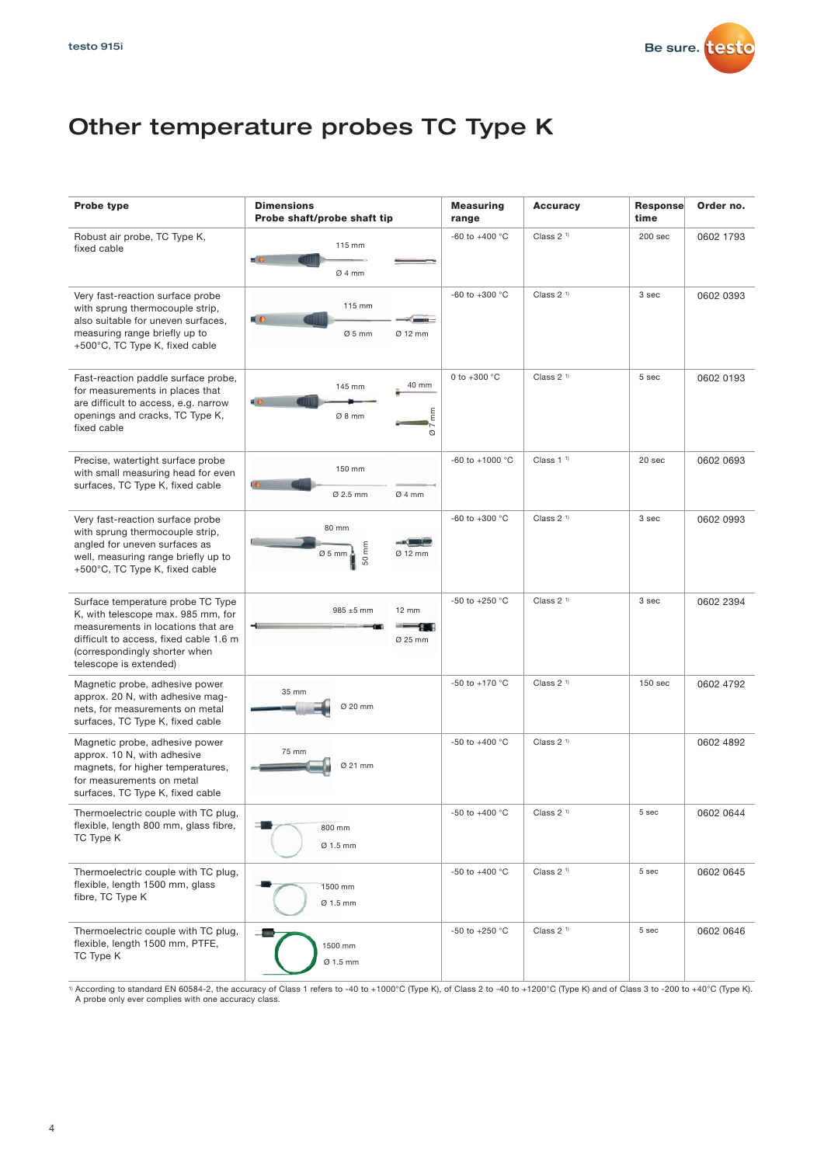

## Other temperature probes TC Type K

| <b>Probe type</b>                                                                                                                                                                                                  | <b>Dimensions</b><br>Probe shaft/probe shaft tip                    | <b>Measuring</b><br>range | <b>Accuracy</b>       | <b>Response</b><br>time | Order no. |
|--------------------------------------------------------------------------------------------------------------------------------------------------------------------------------------------------------------------|---------------------------------------------------------------------|---------------------------|-----------------------|-------------------------|-----------|
| Robust air probe, TC Type K,<br>fixed cable                                                                                                                                                                        | 115 mm<br>$\blacksquare$<br>Ø4mm                                    | -60 to +400 $^{\circ}$ C  | Class 2 <sup>1)</sup> | 200 <sub>sec</sub>      | 0602 1793 |
| Very fast-reaction surface probe<br>with sprung thermocouple strip,<br>also suitable for uneven surfaces,<br>measuring range briefly up to<br>+500°C, TC Type K, fixed cable                                       | 115 mm<br>$\blacksquare$ $\blacksquare$<br>$Ø5$ mm<br>Ø 12 mm       | -60 to +300 $^{\circ}$ C  | Class 2 <sup>1)</sup> | 3 sec                   | 0602 0393 |
| Fast-reaction paddle surface probe,<br>for measurements in places that<br>are difficult to access, e.g. narrow<br>openings and cracks, TC Type K,<br>fixed cable                                                   | 40 mm<br>145 mm<br>40<br>E<br>Ø 8 mm<br>Ø                           | 0 to $+300 °C$            | Class $21$            | 5 sec                   | 0602 0193 |
| Precise, watertight surface probe<br>with small measuring head for even<br>surfaces, TC Type K, fixed cable                                                                                                        | 150 mm<br>ŧΘ<br>Ø 2.5 mm<br>Ø 4 mm                                  | -60 to +1000 $^{\circ}$ C | Class $11$            | 20 sec                  | 0602 0693 |
| Very fast-reaction surface probe<br>with sprung thermocouple strip,<br>angled for uneven surfaces as<br>well, measuring range briefly up to<br>+500°C, TC Type K, fixed cable                                      | 80 mm<br>a the<br>$\overline{\epsilon}$<br>$Ø5$ mm<br>Ø 12 mm<br>50 | -60 to +300 $^{\circ}$ C  | Class 2 <sup>1)</sup> | 3 sec                   | 0602 0993 |
| Surface temperature probe TC Type<br>K, with telescope max. 985 mm, for<br>measurements in locations that are<br>difficult to access, fixed cable 1.6 m<br>(correspondingly shorter when<br>telescope is extended) | 985 ±5 mm<br>12 mm<br>Ø 25 mm                                       | -50 to +250 °C            | Class $21$            | 3 sec                   | 0602 2394 |
| Magnetic probe, adhesive power<br>approx. 20 N, with adhesive mag-<br>nets, for measurements on metal<br>surfaces, TC Type K, fixed cable                                                                          | 35 mm<br>Ø 20 mm                                                    | -50 to +170 °C            | Class 2 <sup>1)</sup> | 150 sec                 | 0602 4792 |
| Magnetic probe, adhesive power<br>approx. 10 N, with adhesive<br>magnets, for higher temperatures,<br>for measurements on metal<br>surfaces, TC Type K, fixed cable                                                | 75 mm<br>Ø 21 mm                                                    | -50 to +400 $^{\circ}$ C  | Class 2 <sup>1)</sup> |                         | 0602 4892 |
| Thermoelectric couple with TC plug,<br>flexible, length 800 mm, glass fibre,<br>TC Type K                                                                                                                          | 800 mm<br>Ø 1.5 mm                                                  | -50 to +400 °C            | Class $21$            | 5 sec                   | 0602 0644 |
| Thermoelectric couple with TC plug,<br>flexible, length 1500 mm, glass<br>fibre, TC Type K                                                                                                                         | 1500 mm<br>Ø 1.5 mm                                                 | -50 to +400 °C            | Class 2 <sup>1)</sup> | 5 sec                   | 0602 0645 |
| Thermoelectric couple with TC plug,<br>flexible, length 1500 mm, PTFE,<br>TC Type K                                                                                                                                | 1500 mm<br>Ø 1.5 mm                                                 | -50 to +250 °C            | Class $21$            | 5 sec                   | 0602 0646 |

<sup>1)</sup> According to standard EN 60584-2, the accuracy of Class 1 refers to -40 to +1000°C (Type K), of Class 2 to -40 to +1200°C (Type K) and of Class 3 to -200 to +40°C (Type K).<br>A probe only ever complies with one accurac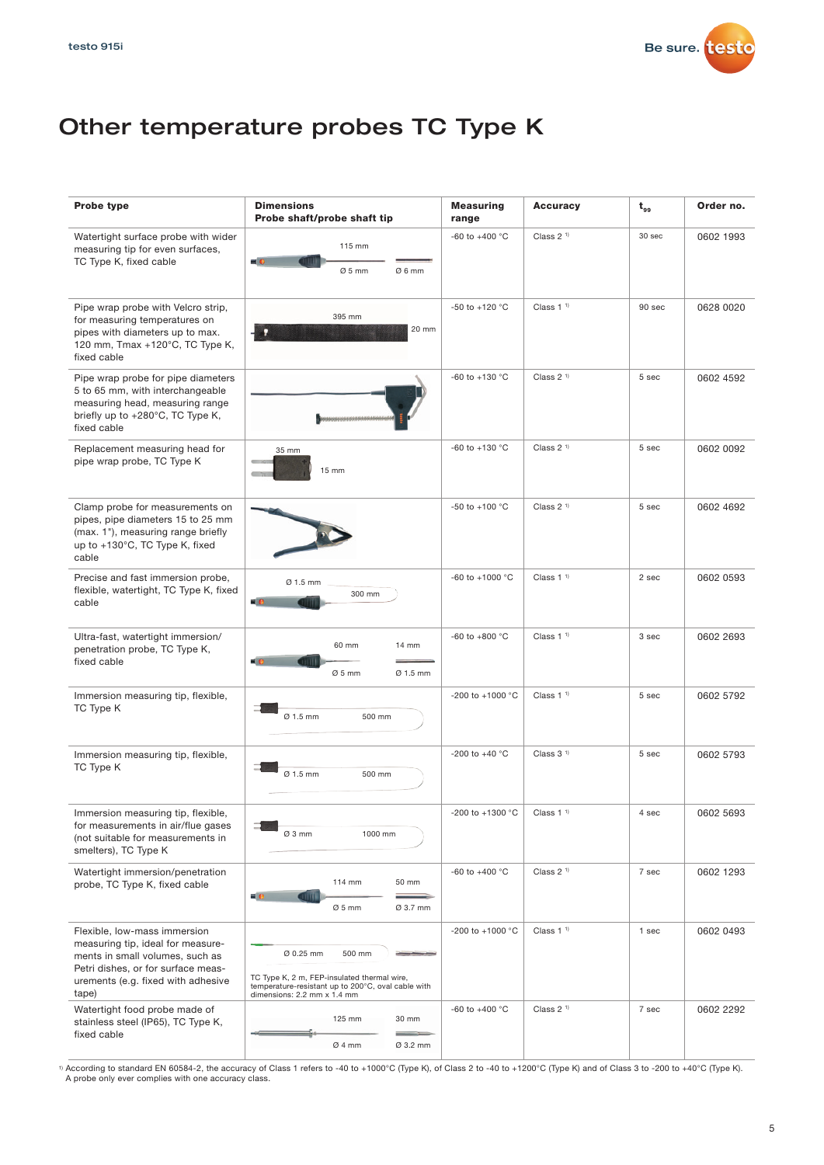

### Other temperature probes TC Type K

| Probe type                                                                                                                                                                                | <b>Dimensions</b><br>Probe shaft/probe shaft tip                                                                                                        | <b>Measuring</b><br>range | <b>Accuracy</b>       | $t_{gs}$ | Order no. |
|-------------------------------------------------------------------------------------------------------------------------------------------------------------------------------------------|---------------------------------------------------------------------------------------------------------------------------------------------------------|---------------------------|-----------------------|----------|-----------|
| Watertight surface probe with wider<br>measuring tip for even surfaces,<br>TC Type K, fixed cable                                                                                         | 115 mm<br>$= 0$<br>$Ø5$ mm<br>Ø6mm                                                                                                                      | -60 to +400 $^{\circ}$ C  | Class 2 <sup>1)</sup> | 30 sec   | 0602 1993 |
| Pipe wrap probe with Velcro strip,<br>for measuring temperatures on<br>pipes with diameters up to max.<br>120 mm, Tmax +120°C, TC Type K,<br>fixed cable                                  | 395 mm<br>20 mm<br>Ω                                                                                                                                    | -50 to +120 $^{\circ}$ C  | Class $11$            | 90 sec   | 0628 0020 |
| Pipe wrap probe for pipe diameters<br>5 to 65 mm, with interchangeable<br>measuring head, measuring range<br>briefly up to +280°C, TC Type K,<br>fixed cable                              | ,,,,,,,,,,,,,,,,,,,,,,,,,,,,                                                                                                                            | $-60$ to $+130$ °C        | Class $21$            | 5 sec    | 0602 4592 |
| Replacement measuring head for<br>pipe wrap probe, TC Type K                                                                                                                              | 35 mm<br>15 mm                                                                                                                                          | -60 to +130 $^{\circ}$ C  | Class $21$            | 5 sec    | 0602 0092 |
| Clamp probe for measurements on<br>pipes, pipe diameters 15 to 25 mm<br>(max. 1"), measuring range briefly<br>up to +130°C, TC Type K, fixed<br>cable                                     |                                                                                                                                                         | -50 to +100 $^{\circ}$ C  | Class $21$            | 5 sec    | 0602 4692 |
| Precise and fast immersion probe,<br>flexible, watertight, TC Type K, fixed<br>cable                                                                                                      | Ø 1.5 mm<br>300 mm<br>$\blacksquare$                                                                                                                    | -60 to +1000 °C           | Class 1 <sup>1</sup>  | 2 sec    | 0602 0593 |
| Ultra-fast, watertight immersion/<br>penetration probe, TC Type K,<br>fixed cable                                                                                                         | 60 mm<br>14 mm<br>$\blacksquare$ $c$<br>$Ø5$ mm<br>Ø 1.5 mm                                                                                             | -60 to +800 $^{\circ}$ C  | Class $11$            | 3 sec    | 0602 2693 |
| Immersion measuring tip, flexible,<br>TC Type K                                                                                                                                           | 500 mm<br>Ø 1.5 mm                                                                                                                                      | -200 to +1000 °C          | Class 1 <sup>1</sup>  | 5 sec    | 0602 5792 |
| Immersion measuring tip, flexible,<br>TC Type K                                                                                                                                           | Ø 1.5 mm<br>500 mm                                                                                                                                      | -200 to +40 $^{\circ}$ C  | Class $31$            | 5 sec    | 0602 5793 |
| Immersion measuring tip, flexible,<br>for measurements in air/flue gases<br>(not suitable for measurements in<br>smelters), TC Type K                                                     | Ø3 mm<br>1000 mm                                                                                                                                        | -200 to +1300 °C          | Class 1 <sup>1</sup>  | $4$ sec  | 0602 5693 |
| Watertight immersion/penetration<br>probe, TC Type K, fixed cable                                                                                                                         | 114 mm<br>50 mm<br>$\equiv$ $\epsilon$<br>$Ø5$ mm<br>Ø 3.7 mm                                                                                           | -60 to +400 $^{\circ}$ C  | Class 2 <sup>1)</sup> | 7 sec    | 0602 1293 |
| Flexible, low-mass immersion<br>measuring tip, ideal for measure-<br>ments in small volumes, such as<br>Petri dishes, or for surface meas-<br>urements (e.g. fixed with adhesive<br>tape) | Ø 0.25 mm<br>500 mm<br>TC Type K, 2 m, FEP-insulated thermal wire,<br>temperature-resistant up to 200°C, oval cable with<br>dimensions: 2.2 mm x 1.4 mm | -200 to +1000 °C          | Class 1 <sup>1</sup>  | 1 sec    | 0602 0493 |
| Watertight food probe made of<br>stainless steel (IP65), TC Type K,<br>fixed cable                                                                                                        | 125 mm<br>30 mm<br>Ø4mm<br>Ø 3.2 mm                                                                                                                     | -60 to +400 $^{\circ}$ C  | Class 2 <sup>1)</sup> | 7 sec    | 0602 2292 |

1) According to standard EN 60584-2, the accuracy of Class 1 refers to -40 to +1000°C (Type K), of Class 2 to -40 to +1200°C (Type K) and of Class 3 to -200 to +40°C (Type K). A probe only ever complies with one accuracy class.